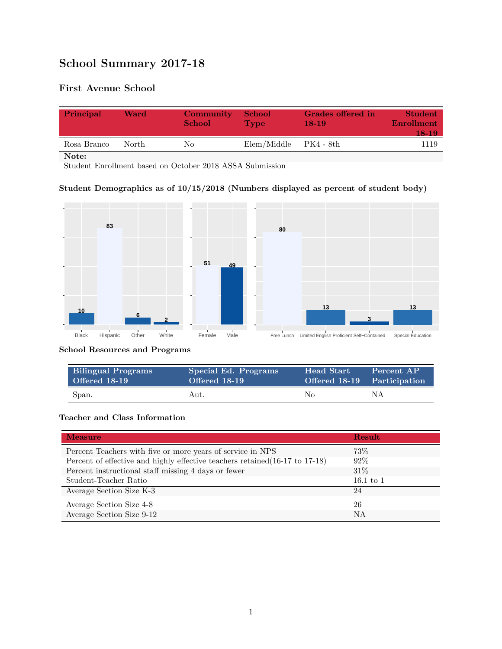# **School Summary 2017-18**

# **First Avenue School**

| Principal   | Ward  | <b>Community</b><br><b>School</b> | School<br><b>Type</b> | <b>Grades offered in</b><br>$18-19$ | <b>Student</b><br><b>Enrollment</b><br>18-19 |
|-------------|-------|-----------------------------------|-----------------------|-------------------------------------|----------------------------------------------|
| Rosa Branco | North | Nο                                | Elem/Middle           | - PK4 - 8th                         | 1119                                         |
| Note:       |       |                                   |                       |                                     |                                              |

Student Enrollment based on October 2018 ASSA Submission

## **Student Demographics as of 10/15/2018 (Numbers displayed as percent of student body)**



#### **School Resources and Programs**

| <b>Bilingual Programs</b> | Special Ed. Programs | <b>Head Start</b> | Percent AP                  |
|---------------------------|----------------------|-------------------|-----------------------------|
| Offered 18-19             | Offered 18-19        |                   | Offered 18-19 Participation |
| Span.                     | Aut.                 | No                | ΝA                          |

#### **Teacher and Class Information**

| <b>Measure</b>                                                               | <b>Result</b> |
|------------------------------------------------------------------------------|---------------|
| Percent Teachers with five or more years of service in NPS                   | 73\%          |
| Percent of effective and highly effective teachers retained (16-17 to 17-18) | 92%           |
| Percent instructional staff missing 4 days or fewer                          | $31\%$        |
| Student-Teacher Ratio                                                        | $16.1$ to $1$ |
| Average Section Size K-3                                                     | 24            |
| Average Section Size 4-8                                                     | 26            |
| Average Section Size 9-12                                                    | NA            |